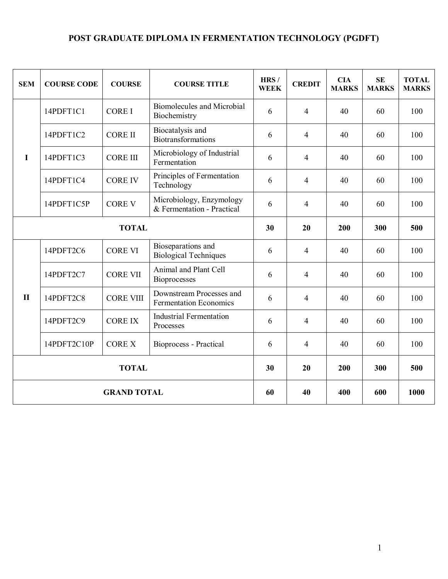# **POST GRADUATE DIPLOMA IN FERMENTATION TECHNOLOGY (PGDFT)**

| <b>SEM</b>         | <b>COURSE CODE</b> | <b>COURSE</b>    | <b>COURSE TITLE</b>                                       | HRS/<br><b>WEEK</b> | <b>CREDIT</b>  | <b>CIA</b><br><b>MARKS</b> | <b>SE</b><br><b>MARKS</b> | <b>TOTAL</b><br><b>MARKS</b> |
|--------------------|--------------------|------------------|-----------------------------------------------------------|---------------------|----------------|----------------------------|---------------------------|------------------------------|
| I                  | 14PDFT1C1          | <b>CORE I</b>    | Biomolecules and Microbial<br>Biochemistry                | 6                   | $\overline{4}$ | 40                         | 60                        | 100                          |
|                    | 14PDFT1C2          | <b>CORE II</b>   | Biocatalysis and<br>Biotransformations                    | 6                   | $\overline{4}$ | 40                         | 60                        | 100                          |
|                    | 14PDFT1C3          | <b>CORE III</b>  | Microbiology of Industrial<br>Fermentation                | 6                   | $\overline{4}$ | 40                         | 60                        | 100                          |
|                    | 14PDFT1C4          | <b>CORE IV</b>   | Principles of Fermentation<br>Technology                  | 6                   | $\overline{4}$ | 40                         | 60                        | 100                          |
|                    | 14PDFT1C5P         | <b>CORE V</b>    | Microbiology, Enzymology<br>& Fermentation - Practical    | 6                   | $\overline{4}$ | 40                         | 60                        | 100                          |
| <b>TOTAL</b>       |                    |                  |                                                           | 30                  | 20             | 200                        | 300                       | 500                          |
| $\mathbf{I}$       | 14PDFT2C6          | <b>CORE VI</b>   | Bioseparations and<br><b>Biological Techniques</b>        | 6                   | $\overline{4}$ | 40                         | 60                        | 100                          |
|                    | 14PDFT2C7          | <b>CORE VII</b>  | Animal and Plant Cell<br><b>Bioprocesses</b>              | 6                   | $\overline{4}$ | 40                         | 60                        | 100                          |
|                    | 14PDFT2C8          | <b>CORE VIII</b> | Downstream Processes and<br><b>Fermentation Economics</b> | 6                   | $\overline{4}$ | 40                         | 60                        | 100                          |
|                    | 14PDFT2C9          | <b>CORE IX</b>   | <b>Industrial Fermentation</b><br>Processes               | 6                   | $\overline{4}$ | 40                         | 60                        | 100                          |
|                    | 14PDFT2C10P        | <b>CORE X</b>    | Bioprocess - Practical                                    | 6                   | 4              | 40                         | 60                        | 100                          |
| <b>TOTAL</b>       |                    |                  |                                                           | 30                  | 20             | 200                        | 300                       | 500                          |
| <b>GRAND TOTAL</b> |                    |                  |                                                           | 60                  | 40             | 400                        | 600                       | 1000                         |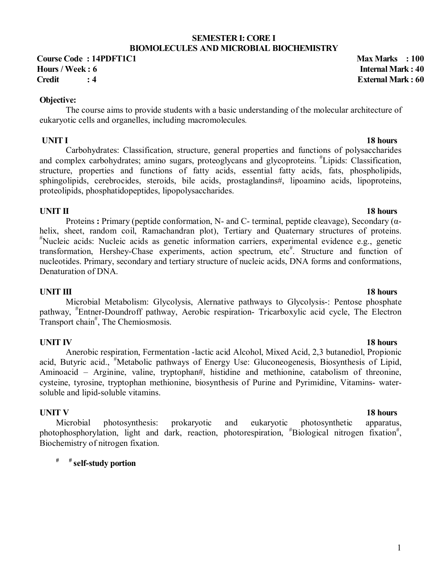# **SEMESTER I: CORE I BIOMOLECULES AND MICROBIAL BIOCHEMISTRY**

**Course Code : 14PDFT1C1** Max Marks : 100 **Hours / Week : 6 Internal Mark : 40 Credit : 4 External Mark : 60**

### **Objective:**

The course aims to provide students with a basic understanding of the molecular architecture of eukaryotic cells and organelles, including macromolecules*.* 

**18 hours 18 hours** Carbohydrates: Classification, structure, general properties and functions of polysaccharides and complex carbohydrates; amino sugars, proteoglycans and glycoproteins. # Lipids: Classification, structure, properties and functions of fatty acids, essential fatty acids, fats, phospholipids, sphingolipids, cerebrocides, steroids, bile acids, prostaglandins#, lipoamino acids, lipoproteins, proteolipids, phosphatidopeptides, lipopolysaccharides.

# **UNIT II** 18 hours

Proteins **:** Primary (peptide conformation, N- and C- terminal, peptide cleavage), Secondary (αhelix, sheet, random coil, Ramachandran plot), Tertiary and Quaternary structures of proteins. # Nucleic acids: Nucleic acids as genetic information carriers, experimental evidence e.g., genetic transformation, Hershey-Chase experiments, action spectrum, etc<sup>#</sup>. Structure and function of nucleotides. Primary, secondary and tertiary structure of nucleic acids, DNA forms and conformations, Denaturation of DNA.

**UNIT III** 18 hours Microbial Metabolism: Glycolysis, Alernative pathways to Glycolysis-: Pentose phosphate pathway, # Entner-Doundroff pathway, Aerobic respiration- Tricarboxylic acid cycle, The Electron Transport chain<sup>#</sup>, The Chemiosmosis.

**UNIT IV** 18 hours Anerobic respiration, Fermentation -lactic acid Alcohol, Mixed Acid, 2,3 butanediol, Propionic acid, Butyric acid., "Metabolic pathways of Energy Use: Gluconeogenesis, Biosynthesis of Lipid, Aminoacid – Arginine, valine, tryptophan#, histidine and methionine, catabolism of threonine, cysteine, tyrosine, tryptophan methionine, biosynthesis of Purine and Pyrimidine, Vitamins- watersoluble and lipid-soluble vitamins.

Microbial photosynthesis: prokaryotic and eukaryotic photosynthetic apparatus, photophosphorylation, light and dark, reaction, photorespiration, "Biological nitrogen fixation", Biochemistry of nitrogen fixation.

# **# # self-study portion**

# **UNIT V** 18 hours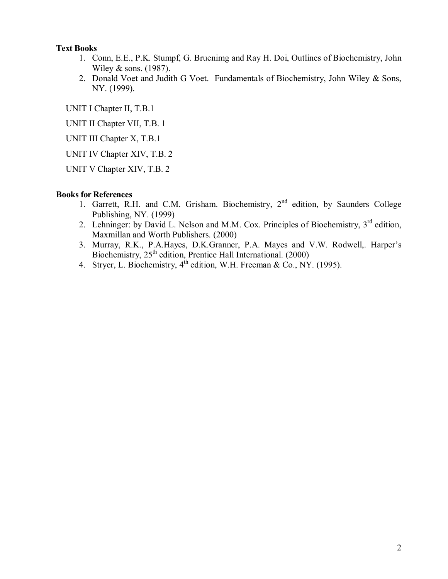# **Text Books**

- 1. Conn, E.E., P.K. Stumpf, G. Bruenimg and Ray H. Doi, Outlines of Biochemistry, John Wiley & sons. (1987).
- 2. Donald Voet and Judith G Voet. Fundamentals of Biochemistry, John Wiley & Sons, NY. (1999).

UNIT I Chapter II, T.B.1

UNIT II Chapter VII, T.B. 1

UNIT III Chapter X, T.B.1

UNIT IV Chapter XIV, T.B. 2

UNIT V Chapter XIV, T.B. 2

### **Books for References**

- 1. Garrett, R.H. and C.M. Grisham. Biochemistry, 2<sup>nd</sup> edition, by Saunders College Publishing, NY. (1999)
- 2. Lehninger: by David L. Nelson and M.M. Cox. Principles of Biochemistry,  $3<sup>rd</sup>$  edition, Maxmillan and Worth Publishers. (2000)
- 3. Murray, R.K., P.A.Hayes, D.K.Granner, P.A. Mayes and V.W. Rodwell,. Harper's Biochemistry, 25<sup>th</sup> edition, Prentice Hall International. (2000)
- 4. Stryer, L. Biochemistry,  $4^{th}$  edition, W.H. Freeman & Co., NY. (1995).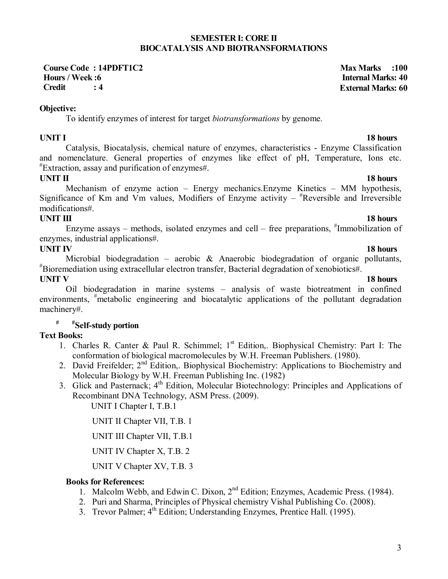### **SEMESTER I: CORE II BIOCATALYSIS AND BIOTRANSFORMATIONS**

**Course Code : 14PDFT1C2 Max Marks :100 Hours / Week :6 Internal Marks: 40 Credit : 4 External Marks: 60**

**Objective:** 

To identify enzymes of interest for target *biotransformations* by genome.

# **UNIT I** 18 hours

Catalysis, Biocatalysis, chemical nature of enzymes, characteristics - Enzyme Classification and nomenclature. General properties of enzymes like effect of pH, Temperature, Ions etc. # Extraction, assay and purification of enzymes#.

# **UNIT II** 18 hours

Mechanism of enzyme action – Energy mechanics.Enzyme Kinetics – MM hypothesis, Significance of Km and Vm values, Modifiers of Enzyme activity  $*$ Reversible and Irreversible modifications#.

# **UNIT III** 18 hours

Enzyme assays – methods, isolated enzymes and cell – free preparations, #Immobilization of enzymes, industrial applications#.

# **UNIT IV** 18 hours

Microbial biodegradation – aerobic & Anaerobic biodegradation of organic pollutants, # Bioremediation using extracellular electron transfer, Bacterial degradation of xenobiotics#. **UNIT V** 18 hours

 Oil biodegradation in marine systems – analysis of waste biotreatment in confined environments, <sup>#</sup>metabolic engineering and biocatalytic applications of the pollutant degradation machinery#.

# **# #Self-study portion**

# **Text Books:**

- 1. Charles R. Canter & Paul R. Schimmel;  $1<sup>st</sup>$  Edition,. Biophysical Chemistry: Part I: The conformation of biological macromolecules by W.H. Freeman Publishers. (1980).
- 2. David Freifelder; 2<sup>nd</sup> Edition,. Biophysical Biochemistry: Applications to Biochemistry and Molecular Biology by W.H. Freeman Publishing Inc. (1982)
- 3. Glick and Pasternack;  $4<sup>th</sup>$  Edition, Molecular Biotechnology: Principles and Applications of Recombinant DNA Technology, ASM Press. (2009).

UNIT I Chapter I, T.B.1

UNIT II Chapter VII, T.B. 1

UNIT III Chapter VII, T.B.1

UNIT IV Chapter X, T.B. 2

UNIT V Chapter XV, T.B. 3

# **Books for References:**

- 1. Malcolm Webb, and Edwin C. Dixon, 2nd Edition; Enzymes, Academic Press. (1984).
- 2. Puri and Sharma, Principles of Physical chemistry Vishal Publishing Co. (2008).
- 3. Trevor Palmer; 4<sup>th</sup> Edition; Understanding Enzymes, Prentice Hall. (1995).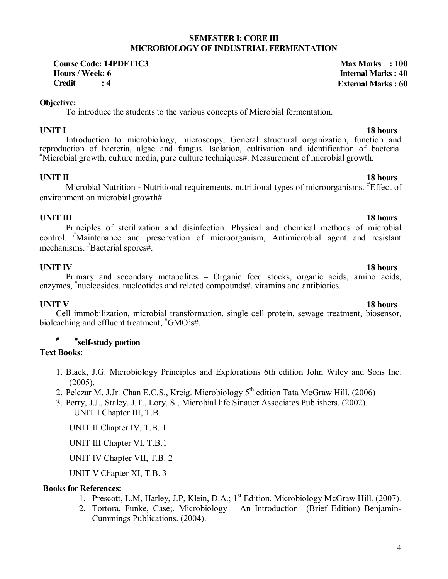### **SEMESTER I: CORE III MICROBIOLOGY OF INDUSTRIAL FERMENTATION**

Course Code: 14PDFT1C3<br> **Hours / Week: 6** Max Marks : 100 **Credit : 4 External Marks : 60**

### **Objective:**

To introduce the students to the various concepts of Microbial fermentation.

**UNIT I** 18 hours Introduction to microbiology, microscopy, General structural organization, function and reproduction of bacteria, algae and fungus. Isolation, cultivation and identification of bacteria. # Microbial growth, culture media, pure culture techniques#. Measurement of microbial growth.

# **UNIT II** 18 hours

Microbial Nutrition - Nutritional requirements, nutritional types of microorganisms. <sup>#</sup>Effect of environment on microbial growth#.

# **UNIT III** 18 hours

Principles of sterilization and disinfection. Physical and chemical methods of microbial control. # Maintenance and preservation of microorganism, Antimicrobial agent and resistant mechanisms. # Bacterial spores#.

**UNIT IV** 18 hours Primary and secondary metabolites – Organic feed stocks, organic acids, amino acids, enzymes, <sup>#</sup>nucleosides, nucleotides and related compounds#, vitamins and antibiotics.

**UNIT V** 18 hours Cell immobilization, microbial transformation, single cell protein, sewage treatment, biosensor, bioleaching and effluent treatment,  $*$ GMO's#.

# **# #self-study portion**

### **Text Books:**

- 1. Black, J.G. Microbiology Principles and Explorations 6th edition John Wiley and Sons Inc. (2005).
- 2. Pelczar M. J.Jr. Chan E.C.S., Kreig. Microbiology  $5<sup>th</sup>$  edition Tata McGraw Hill. (2006)
- 3. Perry, J.J., Staley, J.T., Lory, S., Microbial life Sinauer Associates Publishers. (2002). UNIT I Chapter III, T.B.1

UNIT II Chapter IV, T.B. 1

UNIT III Chapter VI, T.B.1

UNIT IV Chapter VII, T.B. 2

UNIT V Chapter XI, T.B. 3

### **Books for References:**

- 1. Prescott, L.M, Harley, J.P, Klein, D.A.; 1<sup>st</sup> Edition. Microbiology McGraw Hill. (2007).
- 2. Tortora, Funke, Case;. Microbiology An Introduction (Brief Edition) Benjamin-Cummings Publications. (2004).

# **Internal Marks: 40**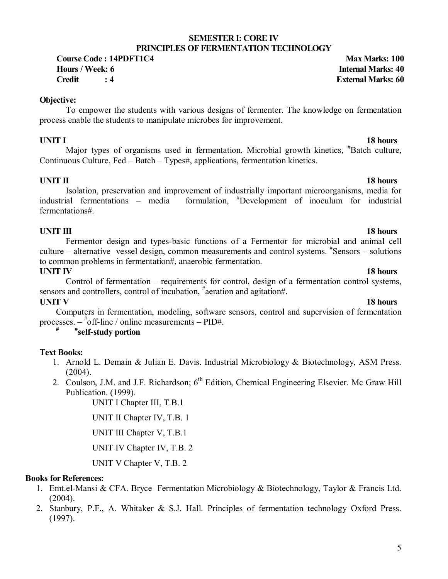### **SEMESTER I: CORE IV PRINCIPLES OF FERMENTATION TECHNOLOGY**

**Course Code : 14PDFT1C4 Max Marks: 100 Hours / Week: 6 Internal Marks: 40 Credit : 4 External Marks: 60**

# **Objective:**

To empower the students with various designs of fermenter. The knowledge on fermentation process enable the students to manipulate microbes for improvement.

**UNIT I** 18 hours Major types of organisms used in fermentation. Microbial growth kinetics, <sup>#</sup>Batch culture, Continuous Culture, Fed – Batch – Types#, applications, fermentation kinetics.

# **UNIT II** 18 hours

 Isolation, preservation and improvement of industrially important microorganisms, media for  $industrial$  fermentations – media formulation, <sup>#</sup>Development of inoculum for industrial fermentations#.

# **UNIT III** 18 hours

 Fermentor design and types-basic functions of a Fermentor for microbial and animal cell culture – alternative vessel design, common measurements and control systems. # Sensors – solutions to common problems in fermentation#, anaerobic fermentation.

**UNIT IV** 18 hours Control of fermentation – requirements for control, design of a fermentation control systems, sensors and controllers, control of incubation, <sup>#</sup>aeration and agitation#.

# **UNIT V** 18 hours

Computers in fermentation, modeling, software sensors, control and supervision of fermentation processes.  $^{*}$ off-line / online measurements  $-$  PID#.

# **# #self-study portion**

# **Text Books:**

- 1. Arnold L. Demain & Julian E. Davis. Industrial Microbiology & Biotechnology, ASM Press.  $(2004)$ .
- 2. Coulson, J.M. and J.F. Richardson;  $6<sup>th</sup>$  Edition, Chemical Engineering Elsevier. Mc Graw Hill Publication. (1999).

UNIT I Chapter III, T.B.1

UNIT II Chapter IV, T.B. 1

UNIT III Chapter V, T.B.1

UNIT IV Chapter IV, T.B. 2

UNIT V Chapter V, T.B. 2

### **Books for References:**

- 1. Emt.el-Mansi & CFA. Bryce Fermentation Microbiology & Biotechnology, Taylor & Francis Ltd.  $(2004)$ .
- 2. Stanbury, P.F., A. Whitaker & S.J. Hall. Principles of fermentation technology Oxford Press. (1997).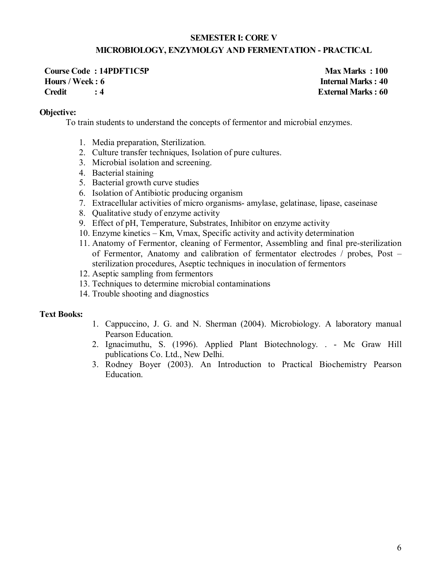# **SEMESTER I: CORE V MICROBIOLOGY, ENZYMOLGY AND FERMENTATION - PRACTICAL**

**Course Code : 14PDFT1C5P** Max Marks : 100 **Hours / Week : 6 Internal Marks : 40 Credit : 4 External Marks : 60**

### **Objective:**

To train students to understand the concepts of fermentor and microbial enzymes.

- 1. Media preparation, Sterilization.
- 2. Culture transfer techniques, Isolation of pure cultures.
- 3. Microbial isolation and screening.
- 4. Bacterial staining
- 5. Bacterial growth curve studies
- 6. Isolation of Antibiotic producing organism
- 7. Extracellular activities of micro organisms- amylase, gelatinase, lipase, caseinase
- 8. Qualitative study of enzyme activity
- 9. Effect of pH, Temperature, Substrates, Inhibitor on enzyme activity
- 10. Enzyme kinetics Km, Vmax, Specific activity and activity determination
- 11. Anatomy of Fermentor, cleaning of Fermentor, Assembling and final pre-sterilization of Fermentor, Anatomy and calibration of fermentator electrodes / probes, Post – sterilization procedures, Aseptic techniques in inoculation of fermentors
- 12. Aseptic sampling from fermentors
- 13. Techniques to determine microbial contaminations
- 14. Trouble shooting and diagnostics

### **Text Books:**

- 1. Cappuccino, J. G. and N. Sherman (2004). Microbiology. A laboratory manual Pearson Education.
- 2. Ignacimuthu, S. (1996). Applied Plant Biotechnology. . Mc Graw Hill publications Co. Ltd., New Delhi.
- 3. Rodney Boyer (2003). An Introduction to Practical Biochemistry Pearson Education.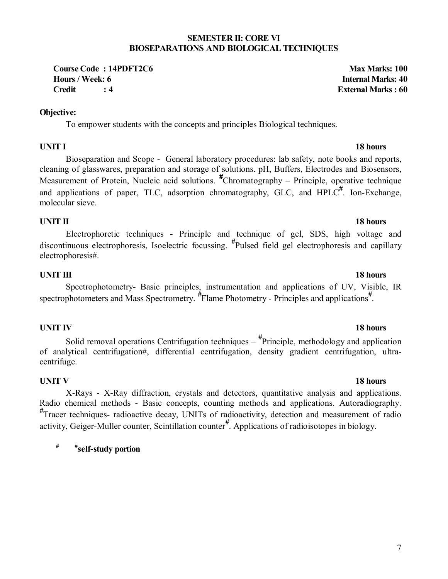### **SEMESTER II: CORE VI BIOSEPARATIONS AND BIOLOGICAL TECHNIQUES**

**Course Code : 14PDFT2C6 Max Marks: 100 Hours / Week: 6 Internal Marks: 40 Credit : 4 External Marks : 60**

# **Objective:**

To empower students with the concepts and principles Biological techniques.

# **UNIT I** 18 hours

Bioseparation and Scope - General laboratory procedures: lab safety, note books and reports, cleaning of glasswares, preparation and storage of solutions. pH, Buffers, Electrodes and Biosensors, Measurement of Protein, Nucleic acid solutions. *#* Chromatography – Principle, operative technique and applications of paper, TLC, adsorption chromatography, GLC, and HPLC*#* . Ion-Exchange, molecular sieve.

# **UNIT II** 18 hours

Electrophoretic techniques - Principle and technique of gel, SDS, high voltage and discontinuous electrophoresis, Isoelectric focussing. *#* Pulsed field gel electrophoresis and capillary electrophoresis#.

# **UNIT III** 18 hours

Spectrophotometry- Basic principles, instrumentation and applications of UV, Visible, IR spectrophotometers and Mass Spectrometry. <sup>#</sup>Flame Photometry - Principles and applications<sup>#</sup>.

# **UNIT IV** 18 hours

Solid removal operations Centrifugation techniques – *#* Principle, methodology and application of analytical centrifugation#, differential centrifugation, density gradient centrifugation, ultracentrifuge.

# **UNIT V** 18 hours

X-Rays - X-Ray diffraction, crystals and detectors, quantitative analysis and applications. Radio chemical methods - Basic concepts, counting methods and applications. Autoradiography. *#* Tracer techniques- radioactive decay, UNITs of radioactivity, detection and measurement of radio activity, Geiger-Muller counter, Scintillation counter*#* . Applications of radioisotopes in biology.

**# #self-study portion**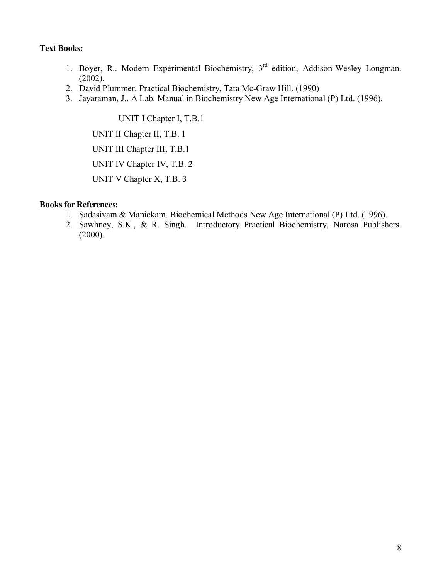# **Text Books:**

- 1. Boyer, R.. Modern Experimental Biochemistry, 3<sup>rd</sup> edition, Addison-Wesley Longman. (2002).
- 2. David Plummer. Practical Biochemistry, Tata Mc-Graw Hill. (1990)
- 3. Jayaraman, J.. A Lab. Manual in Biochemistry New Age International (P) Ltd. (1996).

UNIT I Chapter I, T.B.1 UNIT II Chapter II, T.B. 1 UNIT III Chapter III, T.B.1 UNIT IV Chapter IV, T.B. 2 UNIT V Chapter X, T.B. 3

### **Books for References:**

- 1. Sadasivam & Manickam. Biochemical Methods New Age International (P) Ltd. (1996).
- 2. Sawhney, S.K., & R. Singh. Introductory Practical Biochemistry, Narosa Publishers.  $(2000)$ .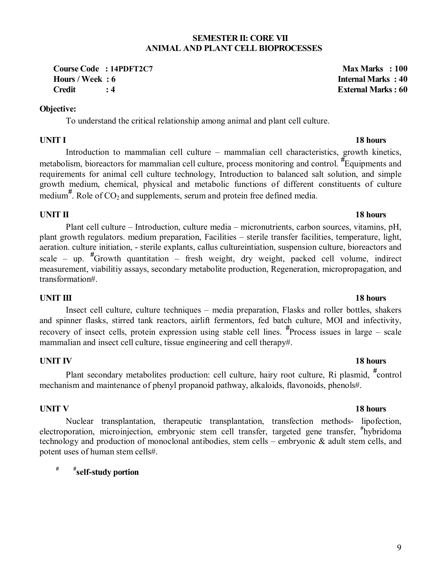### **SEMESTER II: CORE VII ANIMAL AND PLANT CELL BIOPROCESSES**

**Course Code : 14PDFT2C7** Max Marks : 100 **Hours / Week : 6** Internal Marks : 40 **Credit : 4 External Marks : 60**

# **Objective:**

To understand the critical relationship among animal and plant cell culture.

# **UNIT I** 18 hours

Introduction to mammalian cell culture – mammalian cell characteristics, growth kinetics, metabolism, bioreactors for mammalian cell culture, process monitoring and control. *#* Equipments and requirements for animal cell culture technology, Introduction to balanced salt solution, and simple growth medium, chemical, physical and metabolic functions of different constituents of culture medium<sup>#</sup>. Role of  $CO_2$  and supplements, serum and protein free defined media.

# **UNIT II** 18 hours

Plant cell culture – Introduction, culture media – micronutrients, carbon sources, vitamins, pH, plant growth regulators. medium preparation, Facilities – sterile transfer facilities, temperature, light, aeration. culture initiation, - sterile explants, callus cultureintiation, suspension culture, bioreactors and scale – up. *#* Growth quantitation – fresh weight, dry weight, packed cell volume, indirect measurement, viabilitiy assays, secondary metabolite production, Regeneration, micropropagation, and transformation#.

# **UNIT III** 18 hours

Insect cell culture, culture techniques – media preparation, Flasks and roller bottles, shakers and spinner flasks, stirred tank reactors, airlift fermentors, fed batch culture, MOI and infectivity, recovery of insect cells, protein expression using stable cell lines. *#* Process issues in large – scale mammalian and insect cell culture, tissue engineering and cell therapy#.

# **UNIT IV** 18 hours

Plant secondary metabolites production: cell culture, hairy root culture, Ri plasmid, *#* control mechanism and maintenance of phenyl propanoid pathway, alkaloids, flavonoids, phenols#.

# **UNIT V** 18 hours

Nuclear transplantation, therapeutic transplantation, transfection methods- lipofection, electroporation, microinjection, embryonic stem cell transfer, targeted gene transfer, **#** hybridoma technology and production of monoclonal antibodies, stem cells – embryonic & adult stem cells, and potent uses of human stem cells#.

# **# #self-study portion**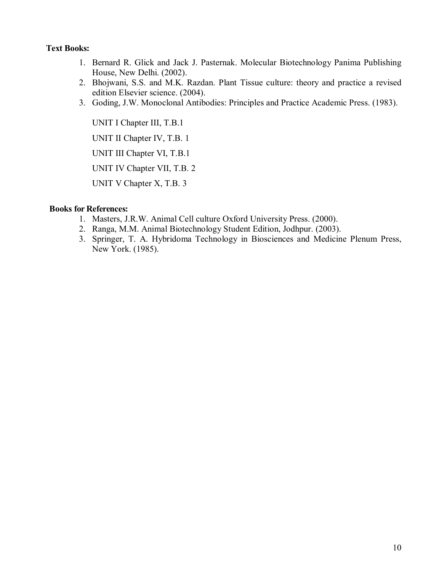# **Text Books:**

- 1. Bernard R. Glick and Jack J. Pasternak. Molecular Biotechnology Panima Publishing House, New Delhi. (2002).
- 2. Bhojwani, S.S. and M.K. Razdan. Plant Tissue culture: theory and practice a revised edition Elsevier science. (2004).
- 3. Goding, J.W. Monoclonal Antibodies: Principles and Practice Academic Press. (1983).

UNIT I Chapter III, T.B.1 UNIT II Chapter IV, T.B. 1 UNIT III Chapter VI, T.B.1 UNIT IV Chapter VII, T.B. 2 UNIT V Chapter X, T.B. 3

### **Books for References:**

- 1. Masters, J.R.W. Animal Cell culture Oxford University Press. (2000).
- 2. Ranga, M.M. Animal Biotechnology Student Edition, Jodhpur. (2003).
- 3. Springer, T. A. Hybridoma Technology in Biosciences and Medicine Plenum Press, New York. (1985).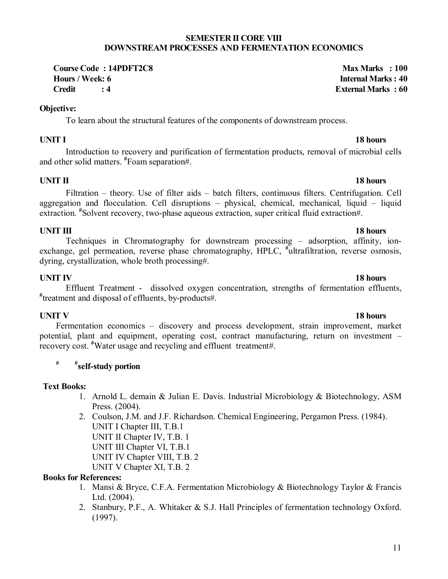### **SEMESTER II CORE VIII DOWNSTREAM PROCESSES AND FERMENTATION ECONOMICS**

**Course Code : 14PDFT2C8 Max Marks : 100 Hours / Week: 6 Internal Marks : 40 Credit : 4 External Marks : 60**

### **Objective:**

To learn about the structural features of the components of downstream process.

# **UNIT I** 18 hours

Introduction to recovery and purification of fermentation products, removal of microbial cells and other solid matters. **#** Foam separation#.

# **UNIT II** 18 hours

Filtration – theory. Use of filter aids – batch filters, continuous filters. Centrifugation. Cell aggregation and flocculation. Cell disruptions – physical, chemical, mechanical, liquid – liquid extraction. <sup>#</sup>Solvent recovery, two-phase aqueous extraction, super critical fluid extraction#.

# **18 hours 18 hours**

# Techniques in Chromatography for downstream processing – adsorption, affinity, ionexchange, gel permeation, reverse phase chromatography, HPLC, <sup>#</sup>ultrafiltration, reverse osmosis, dyring, crystallization, whole broth processing#.

# **UNIT IV****18 hours**

Effluent Treatment - dissolved oxygen concentration, strengths of fermentation effluents, **#** treatment and disposal of effluents, by-products#.

# **18 hours 18 hours**

Fermentation economics – discovery and process development, strain improvement, market potential, plant and equipment, operating cost, contract manufacturing, return on investment – recovery cost. **#** Water usage and recycling and effluent treatment#.

# **# #self-study portion**

# **Text Books:**

- 1. Arnold L. demain & Julian E. Davis. Industrial Microbiology & Biotechnology, ASM Press. (2004).
- 2. Coulson, J.M. and J.F. Richardson. Chemical Engineering, Pergamon Press. (1984). UNIT I Chapter III, T.B.1 UNIT II Chapter IV, T.B. 1 UNIT III Chapter VI, T.B.1 UNIT IV Chapter VIII, T.B. 2

UNIT V Chapter XI, T.B. 2

# **Books for References:**

- 1. Mansi & Bryce, C.F.A. Fermentation Microbiology & Biotechnology Taylor & Francis Ltd. (2004).
- 2. Stanbury, P.F., A. Whitaker & S.J. Hall Principles of fermentation technology Oxford. (1997).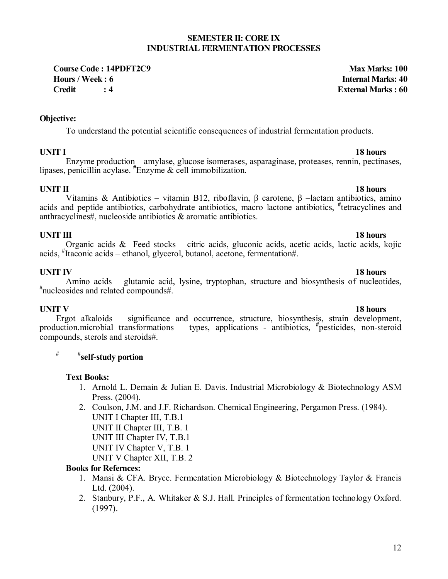# 12

### **SEMESTER II: CORE IX INDUSTRIAL FERMENTATION PROCESSES**

**Course Code : 14PDFT2C9 Max Marks: 100 Hours / Week : 6 Internal Marks: 40 Credit : 4 External Marks : 60**

### **Objective:**

To understand the potential scientific consequences of industrial fermentation products.

**UNIT I****18 hours**  Enzyme production – amylase, glucose isomerases, asparaginase, proteases, rennin, pectinases, lipases, penicillin acylase. **#** Enzyme & cell immobilization.

# **18 hours 18 hours**

### Vitamins & Antibiotics – vitamin B12, riboflavin, β carotene, β –lactam antibiotics, amino acids and peptide antibiotics, carbohydrate antibiotics, macro lactone antibiotics, **#** tetracyclines and anthracyclines#, nucleoside antibiotics & aromatic antibiotics.

**18 hours 18 hours** Organic acids & Feed stocks – citric acids, gluconic acids, acetic acids, lactic acids, kojic acids, **#** Itaconic acids – ethanol, glycerol, butanol, acetone, fermentation#.

**UNIT IV****18 hours**  Amino acids – glutamic acid, lysine, tryptophan, structure and biosynthesis of nucleotides, nucleosides and related compounds#.

**18 hours 18 hours** Ergot alkaloids – significance and occurrence, structure, biosynthesis, strain development, production.microbial transformations – types, applications - antibiotics, **#** pesticides, non-steroid compounds, sterols and steroids#.

# **# #self-study portion**

### **Text Books:**

- 1. Arnold L. Demain & Julian E. Davis. Industrial Microbiology & Biotechnology ASM Press. (2004).
- 2. Coulson, J.M. and J.F. Richardson. Chemical Engineering, Pergamon Press. (1984). UNIT I Chapter III, T.B.1 UNIT II Chapter III, T.B. 1

UNIT III Chapter IV, T.B.1

UNIT IV Chapter V, T.B. 1

UNIT V Chapter XII, T.B. 2

# **Books for Refernces:**

- 1. Mansi & CFA. Bryce. Fermentation Microbiology & Biotechnology Taylor & Francis Ltd. (2004).
- 2. Stanbury, P.F., A. Whitaker & S.J. Hall. Principles of fermentation technology Oxford. (1997).